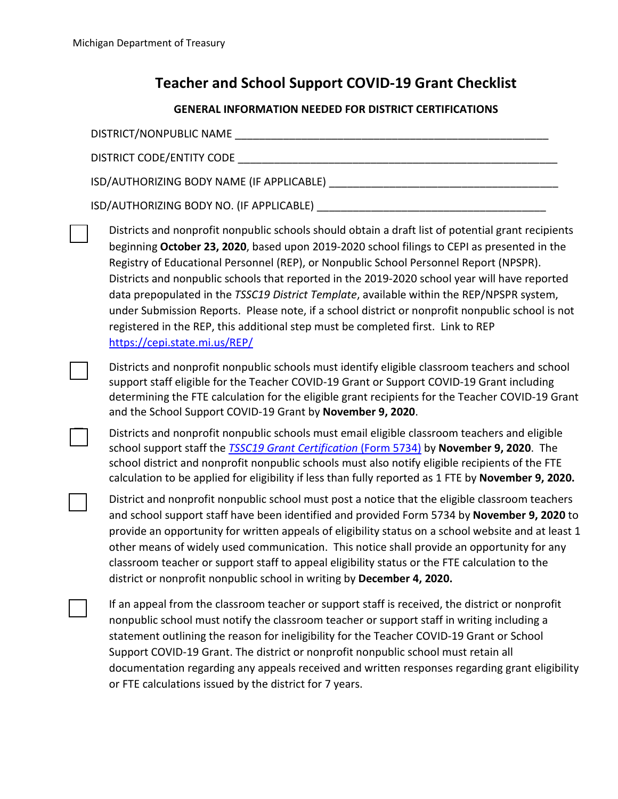## **Teacher and School Support COVID-19 Grant Checklist**

| <b>GENERAL INFORMATION NEEDED FOR DISTRICT CERTIFICATIONS</b> |                                                                                                                                                                                                                                                                                                                                                                                                                                                                                                                                                                                                                                                                                                                    |
|---------------------------------------------------------------|--------------------------------------------------------------------------------------------------------------------------------------------------------------------------------------------------------------------------------------------------------------------------------------------------------------------------------------------------------------------------------------------------------------------------------------------------------------------------------------------------------------------------------------------------------------------------------------------------------------------------------------------------------------------------------------------------------------------|
|                                                               | DISTRICT/NONPUBLIC NAME                                                                                                                                                                                                                                                                                                                                                                                                                                                                                                                                                                                                                                                                                            |
|                                                               | DISTRICT CODE/ENTITY CODE                                                                                                                                                                                                                                                                                                                                                                                                                                                                                                                                                                                                                                                                                          |
|                                                               |                                                                                                                                                                                                                                                                                                                                                                                                                                                                                                                                                                                                                                                                                                                    |
|                                                               |                                                                                                                                                                                                                                                                                                                                                                                                                                                                                                                                                                                                                                                                                                                    |
|                                                               | Districts and nonprofit nonpublic schools should obtain a draft list of potential grant recipients<br>beginning October 23, 2020, based upon 2019-2020 school filings to CEPI as presented in the<br>Registry of Educational Personnel (REP), or Nonpublic School Personnel Report (NPSPR).<br>Districts and nonpublic schools that reported in the 2019-2020 school year will have reported<br>data prepopulated in the TSSC19 District Template, available within the REP/NPSPR system,<br>under Submission Reports. Please note, if a school district or nonprofit nonpublic school is not<br>registered in the REP, this additional step must be completed first. Link to REP<br>https://cepi.state.mi.us/REP/ |
|                                                               | Districts and nonprofit nonpublic schools must identify eligible classroom teachers and school<br>support staff eligible for the Teacher COVID-19 Grant or Support COVID-19 Grant including<br>determining the FTE calculation for the eligible grant recipients for the Teacher COVID-19 Grant<br>and the School Support COVID-19 Grant by November 9, 2020.                                                                                                                                                                                                                                                                                                                                                      |
|                                                               | Districts and nonprofit nonpublic schools must email eligible classroom teachers and eligible<br>school support staff the <b>TSSC19 Grant Certification</b> (Form 5734) by November 9, 2020. The<br>school district and nonprofit nonpublic schools must also notify eligible recipients of the FTE<br>calculation to be applied for eligibility if less than fully reported as 1 FTE by November 9, 2020.                                                                                                                                                                                                                                                                                                         |
|                                                               | District and nonprofit nonpublic school must post a notice that the eligible classroom teachers<br>and school support staff have been identified and provided Form 5734 by November 9, 2020 to<br>provide an opportunity for written appeals of eligibility status on a school website and at least 1<br>other means of widely used communication. This notice shall provide an opportunity for any<br>classroom teacher or support staff to appeal eligibility status or the FTE calculation to the<br>district or nonprofit nonpublic school in writing by December 4, 2020.                                                                                                                                     |
|                                                               | If an appeal from the classroom teacher or support staff is received, the district or nonprofit<br>nonpublic school must notify the classroom teacher or support staff in writing including a<br>statement outlining the reason for ineligibility for the Teacher COVID-19 Grant or School<br>Support COVID-19 Grant. The district or nonprofit nonpublic school must retain all<br>documentation regarding any appeals received and written responses regarding grant eligibility<br>or FTE calculations issued by the district for 7 years.                                                                                                                                                                      |